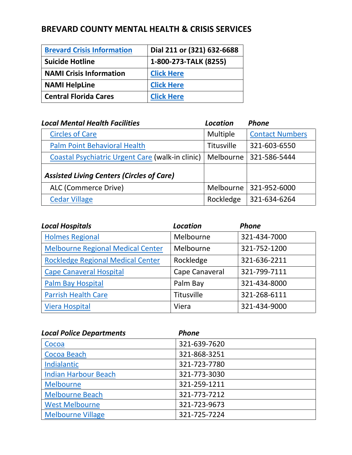# **BREVARD COUNTY MENTAL HEALTH & CRISIS SERVICES**

| <b>Brevard Crisis Information</b> | Dial 211 or (321) 632-6688 |
|-----------------------------------|----------------------------|
| <b>Suicide Hotline</b>            | 1-800-273-TALK (8255)      |
| <b>NAMI Crisis Information</b>    | <b>Click Here</b>          |
| <b>NAMI HelpLine</b>              | <b>Click Here</b>          |
| <b>Central Florida Cares</b>      | <b>Click Here</b>          |

| <b>Local Mental Health Facilities</b>            | Location          | <b>Phone</b>           |
|--------------------------------------------------|-------------------|------------------------|
| <b>Circles of Care</b>                           | Multiple          | <b>Contact Numbers</b> |
| <b>Palm Point Behavioral Health</b>              | <b>Titusville</b> | 321-603-6550           |
| Coastal Psychiatric Urgent Care (walk-in clinic) | Melbourne         | 321-586-5444           |
| <b>Assisted Living Centers (Circles of Care)</b> |                   |                        |
| ALC (Commerce Drive)                             | Melbourne         | 321-952-6000           |
| <b>Cedar Village</b>                             | Rockledge         | 321-634-6264           |

| <b>Local Hospitals</b>                   | <b>Location</b> | <b>Phone</b> |
|------------------------------------------|-----------------|--------------|
| <b>Holmes Regional</b>                   | Melbourne       | 321-434-7000 |
| <b>Melbourne Regional Medical Center</b> | Melbourne       | 321-752-1200 |
| <b>Rockledge Regional Medical Center</b> | Rockledge       | 321-636-2211 |
| <b>Cape Canaveral Hospital</b>           | Cape Canaveral  | 321-799-7111 |
| Palm Bay Hospital                        | Palm Bay        | 321-434-8000 |
| <b>Parrish Health Care</b>               | Titusville      | 321-268-6111 |
| <b>Viera Hospital</b>                    | Viera           | 321-434-9000 |

| <b>Local Police Departments</b> | <b>Phone</b> |
|---------------------------------|--------------|
| Cocoa                           | 321-639-7620 |
| Cocoa Beach                     | 321-868-3251 |
| Indialantic                     | 321-723-7780 |
| <b>Indian Harbour Beach</b>     | 321-773-3030 |
| <b>Melbourne</b>                | 321-259-1211 |
| <b>Melbourne Beach</b>          | 321-773-7212 |
| <b>West Melbourne</b>           | 321-723-9673 |
| <b>Melbourne Village</b>        | 321-725-7224 |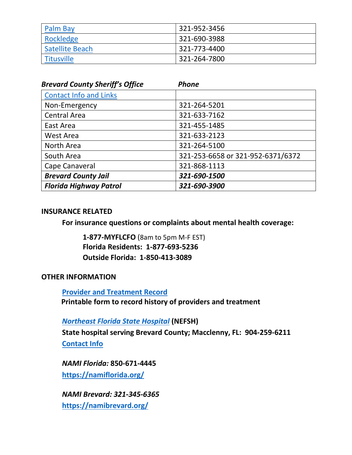| <b>Palm Bay</b> | 321-952-3456 |
|-----------------|--------------|
| Rockledge       | 321-690-3988 |
| Satellite Beach | 321-773-4400 |
| Titusville      | 321-264-7800 |

| <b>Brevard County Sheriff's Office</b> | <b>Phone</b>                      |
|----------------------------------------|-----------------------------------|
| <b>Contact Info and Links</b>          |                                   |
| Non-Emergency                          | 321-264-5201                      |
| <b>Central Area</b>                    | 321-633-7162                      |
| East Area                              | 321-455-1485                      |
| West Area                              | 321-633-2123                      |
| North Area                             | 321-264-5100                      |
| South Area                             | 321-253-6658 or 321-952-6371/6372 |
| Cape Canaveral                         | 321-868-1113                      |
| <b>Brevard County Jail</b>             | 321-690-1500                      |
| <b>Florida Highway Patrol</b>          | 321-690-3900                      |

# **INSURANCE RELATED**

**For insurance questions or complaints about mental health coverage:**

**1-877-MYFLCFO** (8am to 5pm M-F EST) **Florida Residents: 1-877-693-5236 Outside Florida: 1-850-413-3089**

# **OTHER INFORMATION**

**Provider and [Treatment Record](https://www.nami.org/NAMI/media/NAMI-Media/Infographics/crisis%20guide/Portable-Treatment-Record.docx) Printable form to record history of providers and treatment**

*[Northeast Florida State Hospital](https://www.myflfamilies.com/service-programs/mental-health/nefsh/)* **(NEFSH)**

**State hospital serving Brevard County; Macclenny, FL: 904-259-6211 [Contact Info](https://www.myflfamilies.com/service-programs/mental-health/nefsh/contact-list.shtml)**

*NAMI Florida:* **850-671-4445 <https://namiflorida.org/>**

*NAMI Brevard: 321-345-6365* **<https://namibrevard.org/>**